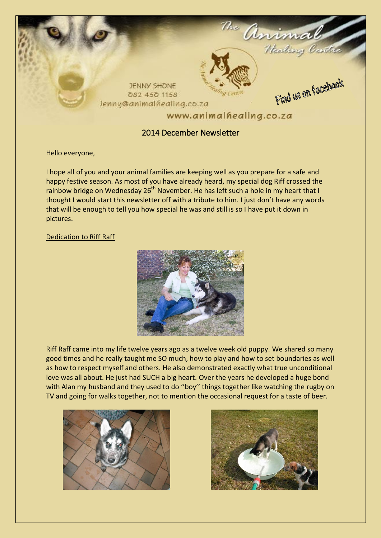

# 2014 December Newsletter

Hello everyone,

I hope all of you and your animal families are keeping well as you prepare for a safe and happy festive season. As most of you have already heard, my special dog Riff crossed the rainbow bridge on Wednesday  $26<sup>th</sup>$  November. He has left such a hole in my heart that I thought I would start this newsletter off with a tribute to him. I just don't have any words that will be enough to tell you how special he was and still is so I have put it down in pictures.

### Dedication to Riff Raff



Riff Raff came into my life twelve years ago as a twelve week old puppy. We shared so many good times and he really taught me SO much, how to play and how to set boundaries as well as how to respect myself and others. He also demonstrated exactly what true unconditional love was all about. He just had SUCH a big heart. Over the years he developed a huge bond with Alan my husband and they used to do ''boy'' things together like watching the rugby on TV and going for walks together, not to mention the occasional request for a taste of beer.



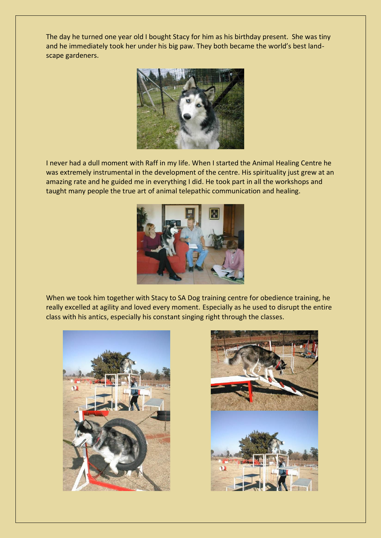The day he turned one year old I bought Stacy for him as his birthday present. She was tiny and he immediately took her under his big paw. They both became the world's best landscape gardeners.



I never had a dull moment with Raff in my life. When I started the Animal Healing Centre he was extremely instrumental in the development of the centre. His spirituality just grew at an amazing rate and he guided me in everything I did. He took part in all the workshops and taught many people the true art of animal telepathic communication and healing.



When we took him together with Stacy to SA Dog training centre for obedience training, he really excelled at agility and loved every moment. Especially as he used to disrupt the entire class with his antics, especially his constant singing right through the classes.



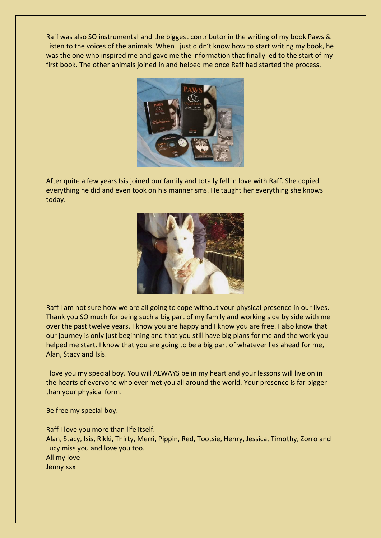Raff was also SO instrumental and the biggest contributor in the writing of my book Paws & Listen to the voices of the animals. When I just didn't know how to start writing my book, he was the one who inspired me and gave me the information that finally led to the start of my first book. The other animals joined in and helped me once Raff had started the process.



After quite a few years Isis joined our family and totally fell in love with Raff. She copied everything he did and even took on his mannerisms. He taught her everything she knows today.



Raff I am not sure how we are all going to cope without your physical presence in our lives. Thank you SO much for being such a big part of my family and working side by side with me over the past twelve years. I know you are happy and I know you are free. I also know that our journey is only just beginning and that you still have big plans for me and the work you helped me start. I know that you are going to be a big part of whatever lies ahead for me, Alan, Stacy and Isis.

I love you my special boy. You will ALWAYS be in my heart and your lessons will live on in the hearts of everyone who ever met you all around the world. Your presence is far bigger than your physical form.

Be free my special boy.

Raff I love you more than life itself. Alan, Stacy, Isis, Rikki, Thirty, Merri, Pippin, Red, Tootsie, Henry, Jessica, Timothy, Zorro and Lucy miss you and love you too. All my love Jenny xxx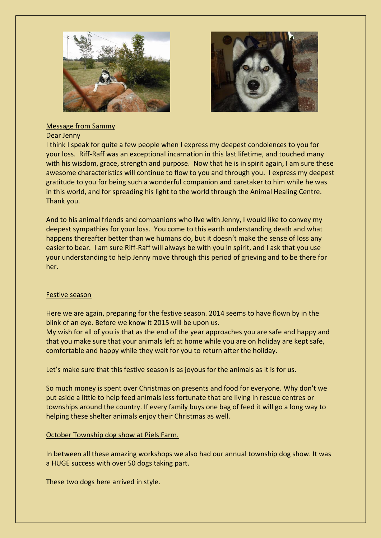



### Message from Sammy

#### Dear Jenny

I think I speak for quite a few people when I express my deepest condolences to you for your loss. Riff-Raff was an exceptional incarnation in this last lifetime, and touched many with his wisdom, grace, strength and purpose. Now that he is in spirit again, I am sure these awesome characteristics will continue to flow to you and through you. I express my deepest gratitude to you for being such a wonderful companion and caretaker to him while he was in this world, and for spreading his light to the world through the Animal Healing Centre. Thank you.

And to his animal friends and companions who live with Jenny, I would like to convey my deepest sympathies for your loss. You come to this earth understanding death and what happens thereafter better than we humans do, but it doesn't make the sense of loss any easier to bear. I am sure Riff-Raff will always be with you in spirit, and I ask that you use your understanding to help Jenny move through this period of grieving and to be there for her.

# Festive season

Here we are again, preparing for the festive season. 2014 seems to have flown by in the blink of an eye. Before we know it 2015 will be upon us.

My wish for all of you is that as the end of the year approaches you are safe and happy and that you make sure that your animals left at home while you are on holiday are kept safe, comfortable and happy while they wait for you to return after the holiday.

Let's make sure that this festive season is as joyous for the animals as it is for us.

So much money is spent over Christmas on presents and food for everyone. Why don't we put aside a little to help feed animals less fortunate that are living in rescue centres or townships around the country. If every family buys one bag of feed it will go a long way to helping these shelter animals enjoy their Christmas as well.

# October Township dog show at Piels Farm.

In between all these amazing workshops we also had our annual township dog show. It was a HUGE success with over 50 dogs taking part.

These two dogs here arrived in style.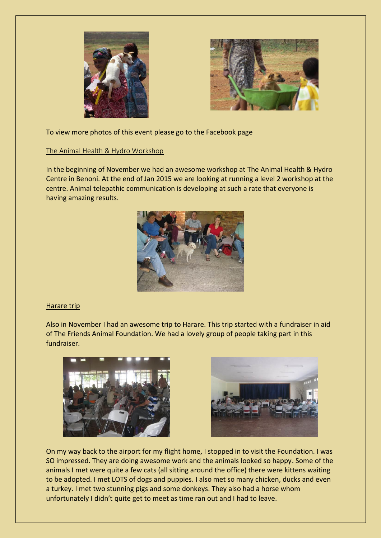



To view more photos of this event please go to the Facebook page

### The Animal Health & Hydro Workshop

In the beginning of November we had an awesome workshop at The Animal Health & Hydro Centre in Benoni. At the end of Jan 2015 we are looking at running a level 2 workshop at the centre. Animal telepathic communication is developing at such a rate that everyone is having amazing results.



### Harare trip

Also in November I had an awesome trip to Harare. This trip started with a fundraiser in aid of The Friends Animal Foundation. We had a lovely group of people taking part in this fundraiser.





On my way back to the airport for my flight home, I stopped in to visit the Foundation. I was SO impressed. They are doing awesome work and the animals looked so happy. Some of the animals I met were quite a few cats (all sitting around the office) there were kittens waiting to be adopted. I met LOTS of dogs and puppies. I also met so many chicken, ducks and even a turkey. I met two stunning pigs and some donkeys. They also had a horse whom unfortunately I didn't quite get to meet as time ran out and I had to leave.